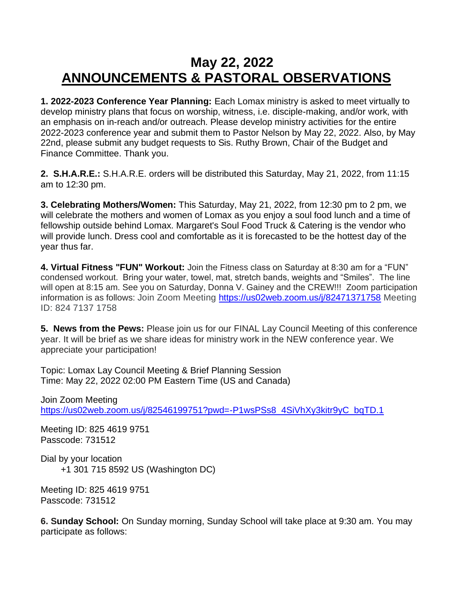## **May 22, 2022 ANNOUNCEMENTS & PASTORAL OBSERVATIONS**

**1. 2022-2023 Conference Year Planning:** Each Lomax ministry is asked to meet virtually to develop ministry plans that focus on worship, witness, i.e. disciple-making, and/or work, with an emphasis on in-reach and/or outreach. Please develop ministry activities for the entire 2022-2023 conference year and submit them to Pastor Nelson by May 22, 2022. Also, by May 22nd, please submit any budget requests to Sis. Ruthy Brown, Chair of the Budget and Finance Committee. Thank you.

**2. S.H.A.R.E.:** S.H.A.R.E. orders will be distributed this Saturday, May 21, 2022, from 11:15 am to 12:30 pm.

**3. Celebrating Mothers/Women:** This Saturday, May 21, 2022, from 12:30 pm to 2 pm, we will celebrate the mothers and women of Lomax as you enjoy a soul food lunch and a time of fellowship outside behind Lomax. Margaret's Soul Food Truck & Catering is the vendor who will provide lunch. Dress cool and comfortable as it is forecasted to be the hottest day of the year thus far.

**4. Virtual Fitness "FUN" Workout:** Join the Fitness class on Saturday at 8:30 am for a "FUN" condensed workout. Bring your water, towel, mat, stretch bands, weights and "Smiles". The line will open at 8:15 am. See you on Saturday, Donna V. Gainey and the CREW!!! Zoom participation information is as follows: Join Zoom Meeting [https://us02web.zoom.us/j/82471371758](https://nam12.safelinks.protection.outlook.com/?url=https%3A%2F%2Fwww.google.com%2Furl%3Fq%3Dhttps%3A%2F%2Fus02web.zoom.us%2Fj%2F82471371758%26sa%3DD%26source%3Dcalendar%26usd%3D2%26usg%3DAOvVaw3Rr5ppJbraDqvychIyG1kh&data=05%7C01%7C%7C8714deb1965945c5f4ee08da24a374a5%7C84df9e7fe9f640afb435aaaaaaaaaaaa%7C1%7C0%7C637862582633681611%7CUnknown%7CTWFpbGZsb3d8eyJWIjoiMC4wLjAwMDAiLCJQIjoiV2luMzIiLCJBTiI6Ik1haWwiLCJXVCI6Mn0%3D%7C3000%7C%7C%7C&sdata=%2Bb%2FT4ndNXz5mln1tn6DqOvgr%2BdqEjsPz77gS3ZhhIrg%3D&reserved=0) Meeting ID: 824 7137 1758

**5. News from the Pews:** Please join us for our FINAL Lay Council Meeting of this conference year. It will be brief as we share ideas for ministry work in the NEW conference year. We appreciate your participation!

Topic: Lomax Lay Council Meeting & Brief Planning Session Time: May 22, 2022 02:00 PM Eastern Time (US and Canada)

Join Zoom Meeting [https://us02web.zoom.us/j/82546199751?pwd=-P1wsPSs8\\_4SiVhXy3kitr9yC\\_bqTD.1](https://us02web.zoom.us/j/82546199751?pwd=-P1wsPSs8_4SiVhXy3kitr9yC_bqTD.1)

Meeting ID: 825 4619 9751 Passcode: 731512

Dial by your location +1 301 715 8592 US (Washington DC)

Meeting ID: 825 4619 9751 Passcode: 731512

**6. Sunday School:** On Sunday morning, Sunday School will take place at 9:30 am. You may participate as follows: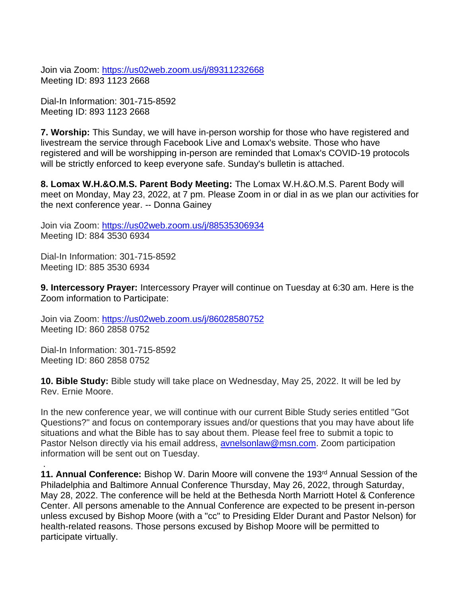Join via Zoom: [https://us02web.zoom.us/j/89311232668](https://nam12.safelinks.protection.outlook.com/?url=https%3A%2F%2Fus02web.zoom.us%2Fj%2F89311232668&data=05%7C01%7C%7C8714deb1965945c5f4ee08da24a374a5%7C84df9e7fe9f640afb435aaaaaaaaaaaa%7C1%7C0%7C637862582633681611%7CUnknown%7CTWFpbGZsb3d8eyJWIjoiMC4wLjAwMDAiLCJQIjoiV2luMzIiLCJBTiI6Ik1haWwiLCJXVCI6Mn0%3D%7C3000%7C%7C%7C&sdata=D7zci727cCnw8JHoblnpgMx8Ny63mTTDEJa%2BSeJ64%2FE%3D&reserved=0) Meeting ID: 893 1123 2668

Dial-In Information: 301-715-8592 Meeting ID: 893 1123 2668

**7. Worship:** This Sunday, we will have in-person worship for those who have registered and livestream the service through Facebook Live and Lomax's website. Those who have registered and will be worshipping in-person are reminded that Lomax's COVID-19 protocols will be strictly enforced to keep everyone safe. Sunday's bulletin is attached.

**8. Lomax W.H.&O.M.S. Parent Body Meeting:** The Lomax W.H.&O.M.S. Parent Body will meet on Monday, May 23, 2022, at 7 pm. Please Zoom in or dial in as we plan our activities for the next conference year. -- Donna Gainey

Join via Zoom: <https://us02web.zoom.us/j/88535306934> Meeting ID: 884 3530 6934

Dial-In Information: 301-715-8592 Meeting ID: 885 3530 6934

**9. Intercessory Prayer:** Intercessory Prayer will continue on Tuesday at 6:30 am. Here is the Zoom information to Participate:

Join via Zoom: [https://us02web.zoom.us/j/86028580752](https://nam12.safelinks.protection.outlook.com/?url=https%3A%2F%2Fus02web.zoom.us%2Fj%2F86028580752&data=05%7C01%7C%7C8714deb1965945c5f4ee08da24a374a5%7C84df9e7fe9f640afb435aaaaaaaaaaaa%7C1%7C0%7C637862582633681611%7CUnknown%7CTWFpbGZsb3d8eyJWIjoiMC4wLjAwMDAiLCJQIjoiV2luMzIiLCJBTiI6Ik1haWwiLCJXVCI6Mn0%3D%7C3000%7C%7C%7C&sdata=M6hlbwTsBXlaHHzuI2VYO7h1qGfzM1nL%2BBkOxg0V4Ls%3D&reserved=0) Meeting ID: 860 2858 0752

Dial-In Information: 301-715-8592 Meeting ID: 860 2858 0752

.

**10. Bible Study:** Bible study will take place on Wednesday, May 25, 2022. It will be led by Rev. Ernie Moore.

In the new conference year, we will continue with our current Bible Study series entitled "Got Questions?" and focus on contemporary issues and/or questions that you may have about life situations and what the Bible has to say about them. Please feel free to submit a topic to Pastor Nelson directly via his email address, [avnelsonlaw@msn.com.](mailto:avnelsonlaw@msn.com) Zoom participation information will be sent out on Tuesday.

**11. Annual Conference:** Bishop W. Darin Moore will convene the 193<sup>rd</sup> Annual Session of the Philadelphia and Baltimore Annual Conference Thursday, May 26, 2022, through Saturday, May 28, 2022. The conference will be held at the Bethesda North Marriott Hotel & Conference Center. All persons amenable to the Annual Conference are expected to be present in-person unless excused by Bishop Moore (with a "cc" to Presiding Elder Durant and Pastor Nelson) for health-related reasons. Those persons excused by Bishop Moore will be permitted to participate virtually.